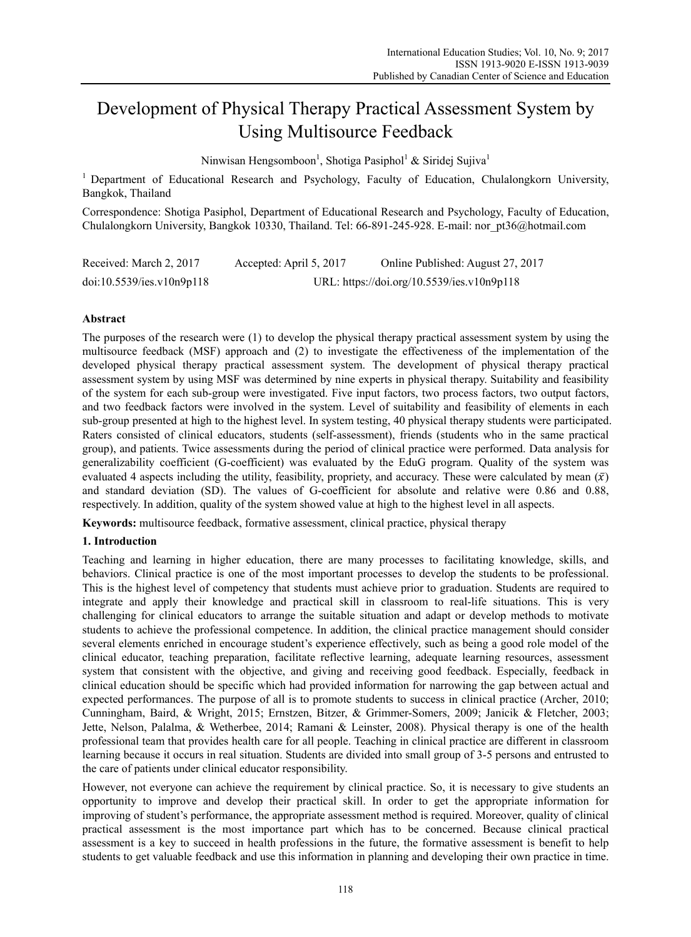# Development of Physical Therapy Practical Assessment System by Using Multisource Feedback

Ninwisan Hengsomboon<sup>1</sup>, Shotiga Pasiphol<sup>1</sup> & Siridej Sujiva<sup>1</sup>

<sup>1</sup> Department of Educational Research and Psychology, Faculty of Education, Chulalongkorn University, Bangkok, Thailand

Correspondence: Shotiga Pasiphol, Department of Educational Research and Psychology, Faculty of Education, Chulalongkorn University, Bangkok 10330, Thailand. Tel: 66-891-245-928. E-mail: nor\_pt36@hotmail.com

| Received: March 2, 2017   | Accepted: April 5, 2017 | Online Published: August 27, 2017          |
|---------------------------|-------------------------|--------------------------------------------|
| doi:10.5539/ies.v10n9p118 |                         | URL: https://doi.org/10.5539/ies.v10n9p118 |

## **Abstract**

The purposes of the research were (1) to develop the physical therapy practical assessment system by using the multisource feedback (MSF) approach and (2) to investigate the effectiveness of the implementation of the developed physical therapy practical assessment system. The development of physical therapy practical assessment system by using MSF was determined by nine experts in physical therapy. Suitability and feasibility of the system for each sub-group were investigated. Five input factors, two process factors, two output factors, and two feedback factors were involved in the system. Level of suitability and feasibility of elements in each sub-group presented at high to the highest level. In system testing, 40 physical therapy students were participated. Raters consisted of clinical educators, students (self-assessment), friends (students who in the same practical group), and patients. Twice assessments during the period of clinical practice were performed. Data analysis for generalizability coefficient (G-coefficient) was evaluated by the EduG program. Quality of the system was evaluated 4 aspects including the utility, feasibility, propriety, and accuracy. These were calculated by mean  $(\bar{x})$ and standard deviation (SD). The values of G-coefficient for absolute and relative were 0.86 and 0.88, respectively. In addition, quality of the system showed value at high to the highest level in all aspects.

**Keywords:** multisource feedback, formative assessment, clinical practice, physical therapy

## **1. Introduction**

Teaching and learning in higher education, there are many processes to facilitating knowledge, skills, and behaviors. Clinical practice is one of the most important processes to develop the students to be professional. This is the highest level of competency that students must achieve prior to graduation. Students are required to integrate and apply their knowledge and practical skill in classroom to real-life situations. This is very challenging for clinical educators to arrange the suitable situation and adapt or develop methods to motivate students to achieve the professional competence. In addition, the clinical practice management should consider several elements enriched in encourage student's experience effectively, such as being a good role model of the clinical educator, teaching preparation, facilitate reflective learning, adequate learning resources, assessment system that consistent with the objective, and giving and receiving good feedback. Especially, feedback in clinical education should be specific which had provided information for narrowing the gap between actual and expected performances. The purpose of all is to promote students to success in clinical practice (Archer, 2010; Cunningham, Baird, & Wright, 2015; Ernstzen, Bitzer, & Grimmer-Somers, 2009; Janicik & Fletcher, 2003; Jette, Nelson, Palalma, & Wetherbee, 2014; Ramani & Leinster, 2008). Physical therapy is one of the health professional team that provides health care for all people. Teaching in clinical practice are different in classroom learning because it occurs in real situation. Students are divided into small group of 3-5 persons and entrusted to the care of patients under clinical educator responsibility.

However, not everyone can achieve the requirement by clinical practice. So, it is necessary to give students an opportunity to improve and develop their practical skill. In order to get the appropriate information for improving of student's performance, the appropriate assessment method is required. Moreover, quality of clinical practical assessment is the most importance part which has to be concerned. Because clinical practical assessment is a key to succeed in health professions in the future, the formative assessment is benefit to help students to get valuable feedback and use this information in planning and developing their own practice in time.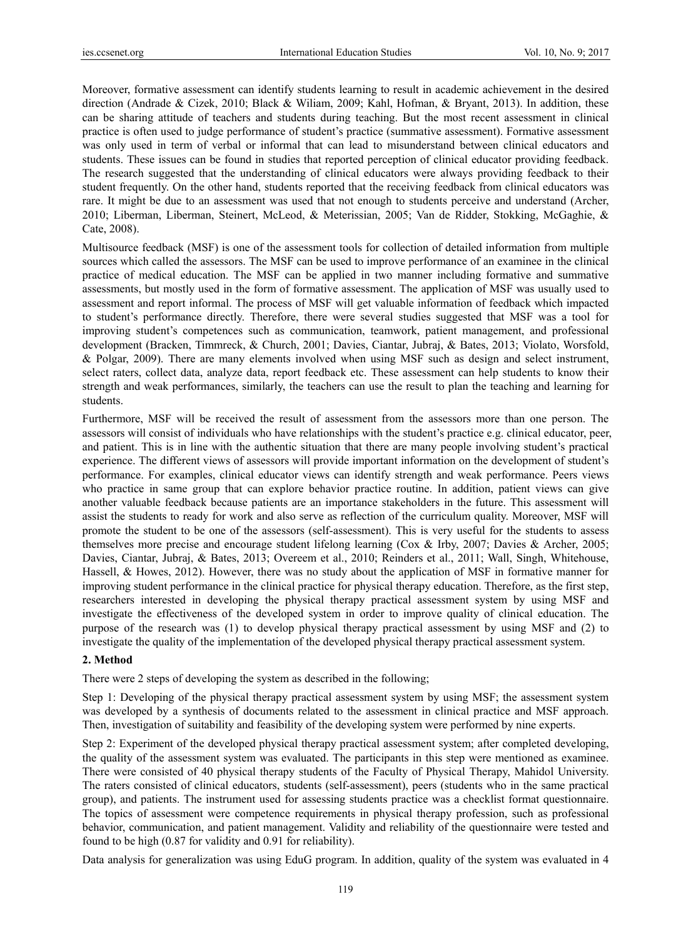Moreover, formative assessment can identify students learning to result in academic achievement in the desired direction (Andrade & Cizek, 2010; Black & Wiliam, 2009; Kahl, Hofman, & Bryant, 2013). In addition, these can be sharing attitude of teachers and students during teaching. But the most recent assessment in clinical practice is often used to judge performance of student's practice (summative assessment). Formative assessment was only used in term of verbal or informal that can lead to misunderstand between clinical educators and students. These issues can be found in studies that reported perception of clinical educator providing feedback. The research suggested that the understanding of clinical educators were always providing feedback to their student frequently. On the other hand, students reported that the receiving feedback from clinical educators was rare. It might be due to an assessment was used that not enough to students perceive and understand (Archer, 2010; Liberman, Liberman, Steinert, McLeod, & Meterissian, 2005; Van de Ridder, Stokking, McGaghie, & Cate, 2008).

Multisource feedback (MSF) is one of the assessment tools for collection of detailed information from multiple sources which called the assessors. The MSF can be used to improve performance of an examinee in the clinical practice of medical education. The MSF can be applied in two manner including formative and summative assessments, but mostly used in the form of formative assessment. The application of MSF was usually used to assessment and report informal. The process of MSF will get valuable information of feedback which impacted to student's performance directly. Therefore, there were several studies suggested that MSF was a tool for improving student's competences such as communication, teamwork, patient management, and professional development (Bracken, Timmreck, & Church, 2001; Davies, Ciantar, Jubraj, & Bates, 2013; Violato, Worsfold, & Polgar, 2009). There are many elements involved when using MSF such as design and select instrument, select raters, collect data, analyze data, report feedback etc. These assessment can help students to know their strength and weak performances, similarly, the teachers can use the result to plan the teaching and learning for students.

Furthermore, MSF will be received the result of assessment from the assessors more than one person. The assessors will consist of individuals who have relationships with the student's practice e.g. clinical educator, peer, and patient. This is in line with the authentic situation that there are many people involving student's practical experience. The different views of assessors will provide important information on the development of student's performance. For examples, clinical educator views can identify strength and weak performance. Peers views who practice in same group that can explore behavior practice routine. In addition, patient views can give another valuable feedback because patients are an importance stakeholders in the future. This assessment will assist the students to ready for work and also serve as reflection of the curriculum quality. Moreover, MSF will promote the student to be one of the assessors (self-assessment). This is very useful for the students to assess themselves more precise and encourage student lifelong learning (Cox & Irby, 2007; Davies & Archer, 2005; Davies, Ciantar, Jubraj, & Bates, 2013; Overeem et al., 2010; Reinders et al., 2011; Wall, Singh, Whitehouse, Hassell, & Howes, 2012). However, there was no study about the application of MSF in formative manner for improving student performance in the clinical practice for physical therapy education. Therefore, as the first step, researchers interested in developing the physical therapy practical assessment system by using MSF and investigate the effectiveness of the developed system in order to improve quality of clinical education. The purpose of the research was (1) to develop physical therapy practical assessment by using MSF and (2) to investigate the quality of the implementation of the developed physical therapy practical assessment system.

# **2. Method**

There were 2 steps of developing the system as described in the following;

Step 1: Developing of the physical therapy practical assessment system by using MSF; the assessment system was developed by a synthesis of documents related to the assessment in clinical practice and MSF approach. Then, investigation of suitability and feasibility of the developing system were performed by nine experts.

Step 2: Experiment of the developed physical therapy practical assessment system; after completed developing, the quality of the assessment system was evaluated. The participants in this step were mentioned as examinee. There were consisted of 40 physical therapy students of the Faculty of Physical Therapy, Mahidol University. The raters consisted of clinical educators, students (self-assessment), peers (students who in the same practical group), and patients. The instrument used for assessing students practice was a checklist format questionnaire. The topics of assessment were competence requirements in physical therapy profession, such as professional behavior, communication, and patient management. Validity and reliability of the questionnaire were tested and found to be high (0.87 for validity and 0.91 for reliability).

Data analysis for generalization was using EduG program. In addition, quality of the system was evaluated in 4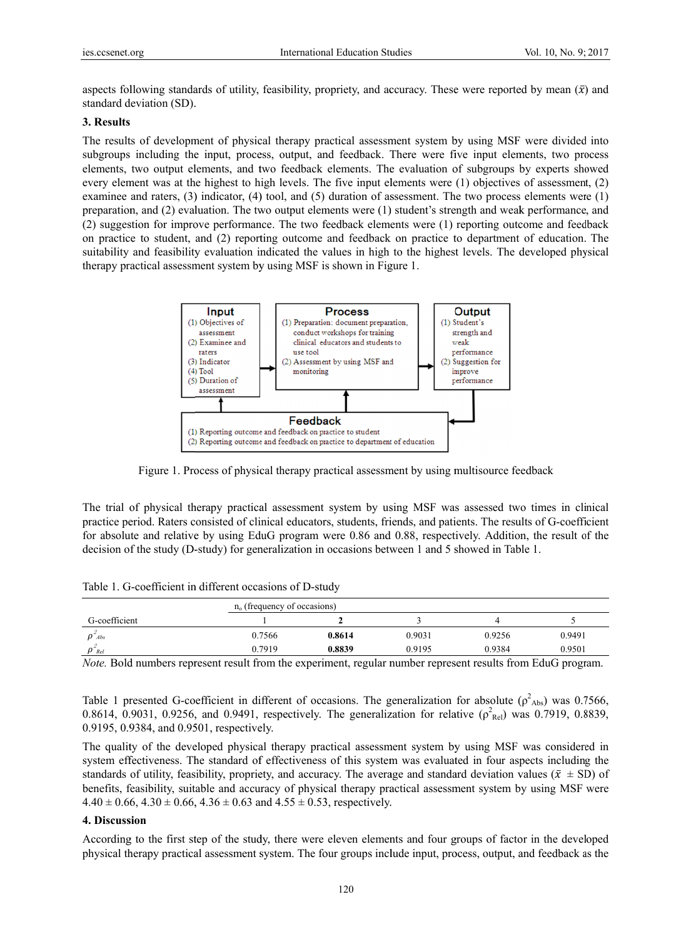aspects following standards of utility, feasibility, propriety, and accuracy. These were reported by mean  $(\bar{x})$  and standard deviation (SD).

### 3. Results

The results of development of physical therapy practical assessment system by using MSF were divided into subgroups including the input, process, output, and feedback. There were five input elements, two process elements, two output elements, and two feedback elements. The evaluation of subgroups by experts showed every element was at the highest to high levels. The five input elements were (1) objectives of assessment, (2) examinee and raters. (3) indicator. (4) tool, and (5) duration of assessment. The two process elements were  $(1)$ preparation, and (2) evaluation. The two output elements were (1) student's strength and weak performance, and (2) suggestion for improve performance. The two feedback elements were (1) reporting outcome and feedback on practice to student, and (2) reporting outcome and feedback on practice to department of education. The suitability and feasibility evaluation indicated the values in high to the highest levels. The developed physical therapy practical assessment system by using MSF is shown in Figure 1.



Figure 1. Process of physical therapy practical assessment by using multisource feedback

The trial of physical therapy practical assessment system by using MSF was assessed two times in clinical practice period. Raters consisted of clinical educators, students, friends, and patients. The results of G-coefficient for absolute and relative by using EduG program were 0.86 and 0.88, respectively. Addition, the result of the decision of the study (D-study) for generalization in occasions between 1 and 5 showed in Table 1.

|  | Table 1. G-coefficient in different occasions of D-study |  |  |  |
|--|----------------------------------------------------------|--|--|--|
|--|----------------------------------------------------------|--|--|--|

|                         |        | $no$ (frequency of occasions) |        |        |        |  |  |
|-------------------------|--------|-------------------------------|--------|--------|--------|--|--|
| G-coefficient           |        |                               |        |        |        |  |  |
| $\rho^2$ <sub>Abs</sub> | 0.7566 | 0.8614                        | 0.9031 | 0.9256 | 0.9491 |  |  |
| $\rho_{\textit{Rel}}$   | 0.7919 | 0.8839                        | 0.9195 | 0.9384 | 0.9501 |  |  |

*Note.* Bold numbers represent result from the experiment, regular number represent results from EduG program.

Table 1 presented G-coefficient in different of occasions. The generalization for absolute ( $\rho_{\text{Abs}}^2$ ) was 0.7566, 0.8614, 0.9031, 0.9256, and 0.9491, respectively. The generalization for relative ( $\rho_{\text{Rel}}^2$ ) was 0.7919, 0.8839, 0.9195, 0.9384, and 0.9501, respectively.

The quality of the developed physical therapy practical assessment system by using MSF was considered in system effectiveness. The standard of effectiveness of this system was evaluated in four aspects including the standards of utility, feasibility, propriety, and accuracy. The average and standard deviation values ( $\bar{x}$   $\pm$  SD) of benefits, feasibility, suitable and accuracy of physical therapy practical assessment system by using MSF were  $4.40 \pm 0.66$ ,  $4.30 \pm 0.66$ ,  $4.36 \pm 0.63$  and  $4.55 \pm 0.53$ , respectively.

#### 4. Discussion

According to the first step of the study, there were eleven elements and four groups of factor in the developed physical therapy practical assessment system. The four groups include input, process, output, and feedback as the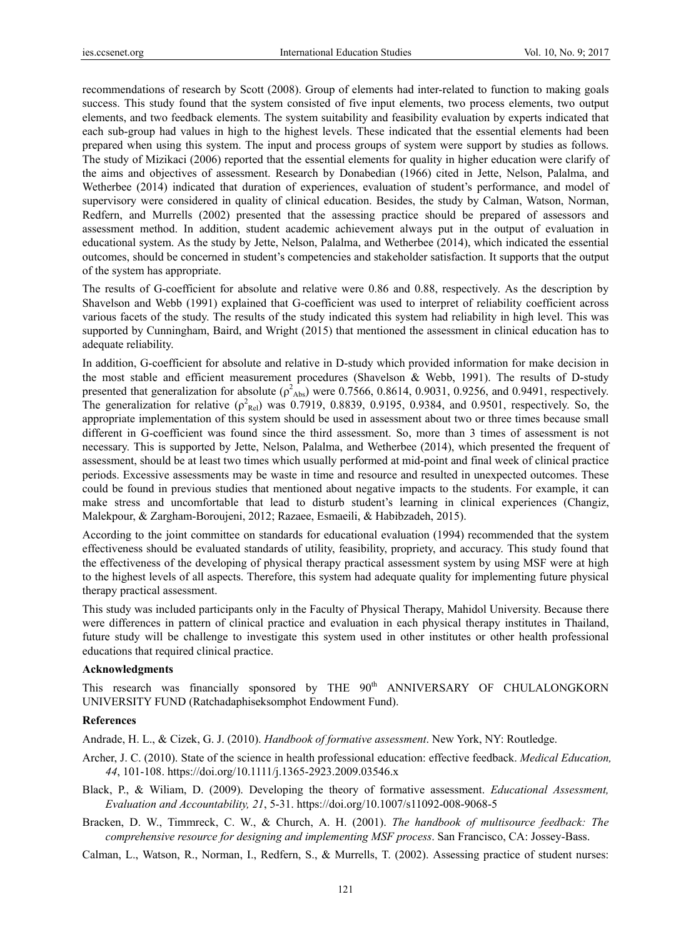recommendations of research by Scott (2008). Group of elements had inter-related to function to making goals success. This study found that the system consisted of five input elements, two process elements, two output elements, and two feedback elements. The system suitability and feasibility evaluation by experts indicated that each sub-group had values in high to the highest levels. These indicated that the essential elements had been prepared when using this system. The input and process groups of system were support by studies as follows. The study of Mizikaci (2006) reported that the essential elements for quality in higher education were clarify of the aims and objectives of assessment. Research by Donabedian (1966) cited in Jette, Nelson, Palalma, and Wetherbee (2014) indicated that duration of experiences, evaluation of student's performance, and model of supervisory were considered in quality of clinical education. Besides, the study by Calman, Watson, Norman, Redfern, and Murrells (2002) presented that the assessing practice should be prepared of assessors and assessment method. In addition, student academic achievement always put in the output of evaluation in educational system. As the study by Jette, Nelson, Palalma, and Wetherbee (2014), which indicated the essential outcomes, should be concerned in student's competencies and stakeholder satisfaction. It supports that the output of the system has appropriate.

The results of G-coefficient for absolute and relative were 0.86 and 0.88, respectively. As the description by Shavelson and Webb (1991) explained that G-coefficient was used to interpret of reliability coefficient across various facets of the study. The results of the study indicated this system had reliability in high level. This was supported by Cunningham, Baird, and Wright (2015) that mentioned the assessment in clinical education has to adequate reliability.

In addition, G-coefficient for absolute and relative in D-study which provided information for make decision in the most stable and efficient measurement procedures (Shavelson & Webb, 1991). The results of D-study presented that generalization for absolute  $(\rho^2_{\text{Abs}})$  were 0.7566, 0.8614, 0.9031, 0.9256, and 0.9491, respectively. The generalization for relative  $(\rho_{Rel}^2)$  was 0.7919, 0.8839, 0.9195, 0.9384, and 0.9501, respectively. So, the appropriate implementation of this system should be used in assessment about two or three times because small different in G-coefficient was found since the third assessment. So, more than 3 times of assessment is not necessary. This is supported by Jette, Nelson, Palalma, and Wetherbee (2014), which presented the frequent of assessment, should be at least two times which usually performed at mid-point and final week of clinical practice periods. Excessive assessments may be waste in time and resource and resulted in unexpected outcomes. These could be found in previous studies that mentioned about negative impacts to the students. For example, it can make stress and uncomfortable that lead to disturb student's learning in clinical experiences (Changiz, Malekpour, & Zargham-Boroujeni, 2012; Razaee, Esmaeili, & Habibzadeh, 2015).

According to the joint committee on standards for educational evaluation (1994) recommended that the system effectiveness should be evaluated standards of utility, feasibility, propriety, and accuracy. This study found that the effectiveness of the developing of physical therapy practical assessment system by using MSF were at high to the highest levels of all aspects. Therefore, this system had adequate quality for implementing future physical therapy practical assessment.

This study was included participants only in the Faculty of Physical Therapy, Mahidol University. Because there were differences in pattern of clinical practice and evaluation in each physical therapy institutes in Thailand, future study will be challenge to investigate this system used in other institutes or other health professional educations that required clinical practice.

#### **Acknowledgments**

This research was financially sponsored by THE 90<sup>th</sup> ANNIVERSARY OF CHULALONGKORN UNIVERSITY FUND (Ratchadaphiseksomphot Endowment Fund).

#### **References**

Andrade, H. L., & Cizek, G. J. (2010). *Handbook of formative assessment*. New York, NY: Routledge.

- Archer, J. C. (2010). State of the science in health professional education: effective feedback. *Medical Education, 44*, 101-108. https://doi.org/10.1111/j.1365-2923.2009.03546.x
- Black, P., & Wiliam, D. (2009). Developing the theory of formative assessment. *Educational Assessment, Evaluation and Accountability, 21*, 5-31. https://doi.org/10.1007/s11092-008-9068-5
- Bracken, D. W., Timmreck, C. W., & Church, A. H. (2001). *The handbook of multisource feedback: The comprehensive resource for designing and implementing MSF process*. San Francisco, CA: Jossey-Bass.

Calman, L., Watson, R., Norman, I., Redfern, S., & Murrells, T. (2002). Assessing practice of student nurses: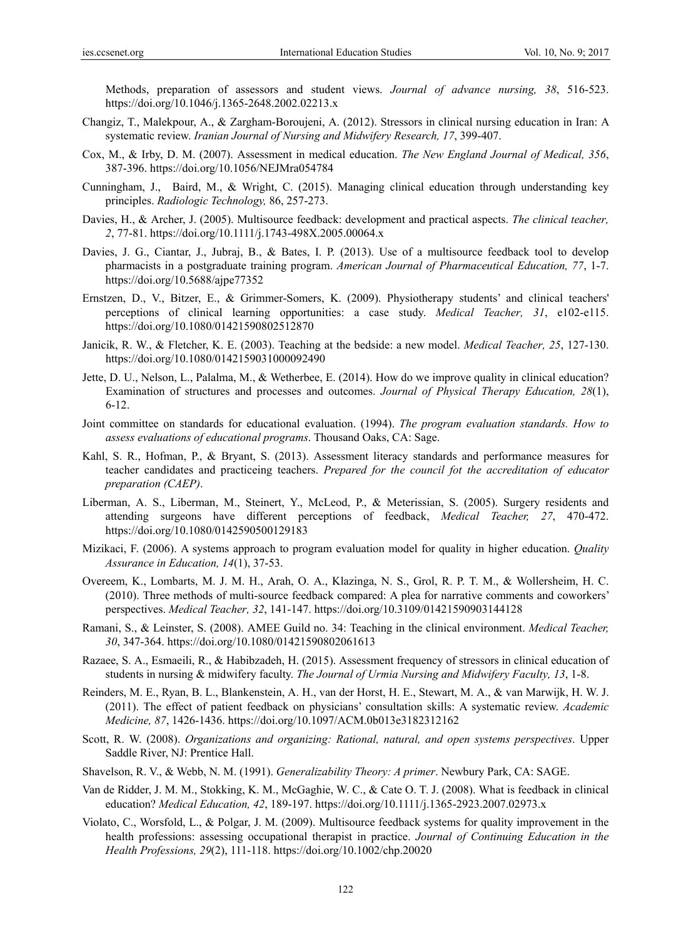Methods, preparation of assessors and student views. *Journal of advance nursing, 38*, 516-523. https://doi.org/10.1046/j.1365-2648.2002.02213.x

- Changiz, T., Malekpour, A., & Zargham-Boroujeni, A. (2012). Stressors in clinical nursing education in Iran: A systematic review. *Iranian Journal of Nursing and Midwifery Research, 17*, 399-407.
- Cox, M., & Irby, D. M. (2007). Assessment in medical education. *The New England Journal of Medical, 356*, 387-396. https://doi.org/10.1056/NEJMra054784
- Cunningham, J., Baird, M., & Wright, C. (2015). Managing clinical education through understanding key principles. *Radiologic Technology,* 86, 257-273.
- Davies, H., & Archer, J. (2005). Multisource feedback: development and practical aspects. *The clinical teacher, 2*, 77-81. https://doi.org/10.1111/j.1743-498X.2005.00064.x
- Davies, J. G., Ciantar, J., Jubraj, B., & Bates, I. P. (2013). Use of a multisource feedback tool to develop pharmacists in a postgraduate training program. *American Journal of Pharmaceutical Education, 77*, 1-7. https://doi.org/10.5688/ajpe77352
- Ernstzen, D., V., Bitzer, E., & Grimmer-Somers, K. (2009). Physiotherapy students' and clinical teachers' perceptions of clinical learning opportunities: a case study. *Medical Teacher, 31*, e102-e115. https://doi.org/10.1080/01421590802512870
- Janicik, R. W., & Fletcher, K. E. (2003). Teaching at the bedside: a new model. *Medical Teacher, 25*, 127-130. https://doi.org/10.1080/0142159031000092490
- Jette, D. U., Nelson, L., Palalma, M., & Wetherbee, E. (2014). How do we improve quality in clinical education? Examination of structures and processes and outcomes. *Journal of Physical Therapy Education, 28*(1), 6-12.
- Joint committee on standards for educational evaluation. (1994). *The program evaluation standards. How to assess evaluations of educational programs*. Thousand Oaks, CA: Sage.
- Kahl, S. R., Hofman, P., & Bryant, S. (2013). Assessment literacy standards and performance measures for teacher candidates and practiceing teachers. *Prepared for the council fot the accreditation of educator preparation (CAEP)*.
- Liberman, A. S., Liberman, M., Steinert, Y., McLeod, P., & Meterissian, S. (2005). Surgery residents and attending surgeons have different perceptions of feedback, *Medical Teacher, 27*, 470-472. https://doi.org/10.1080/0142590500129183
- Mizikaci, F. (2006). A systems approach to program evaluation model for quality in higher education. *Quality Assurance in Education, 14*(1), 37-53.
- Overeem, K., Lombarts, M. J. M. H., Arah, O. A., Klazinga, N. S., Grol, R. P. T. M., & Wollersheim, H. C. (2010). Three methods of multi-source feedback compared: A plea for narrative comments and coworkers' perspectives. *Medical Teacher, 32*, 141-147. https://doi.org/10.3109/01421590903144128
- Ramani, S., & Leinster, S. (2008). AMEE Guild no. 34: Teaching in the clinical environment. *Medical Teacher, 30*, 347-364. https://doi.org/10.1080/01421590802061613
- Razaee, S. A., Esmaeili, R., & Habibzadeh, H. (2015). Assessment frequency of stressors in clinical education of students in nursing & midwifery faculty. *The Journal of Urmia Nursing and Midwifery Faculty, 13*, 1-8.
- Reinders, M. E., Ryan, B. L., Blankenstein, A. H., van der Horst, H. E., Stewart, M. A., & van Marwijk, H. W. J. (2011). The effect of patient feedback on physicians' consultation skills: A systematic review. *Academic Medicine, 87*, 1426-1436. https://doi.org/10.1097/ACM.0b013e3182312162
- Scott, R. W. (2008). *Organizations and organizing: Rational, natural, and open systems perspectives*. Upper Saddle River, NJ: Prentice Hall.
- Shavelson, R. V., & Webb, N. M. (1991). *Generalizability Theory: A primer*. Newbury Park, CA: SAGE.
- Van de Ridder, J. M. M., Stokking, K. M., McGaghie, W. C., & Cate O. T. J. (2008). What is feedback in clinical education? *Medical Education, 42*, 189-197. https://doi.org/10.1111/j.1365-2923.2007.02973.x
- Violato, C., Worsfold, L., & Polgar, J. M. (2009). Multisource feedback systems for quality improvement in the health professions: assessing occupational therapist in practice. *Journal of Continuing Education in the Health Professions, 29*(2), 111-118. https://doi.org/10.1002/chp.20020